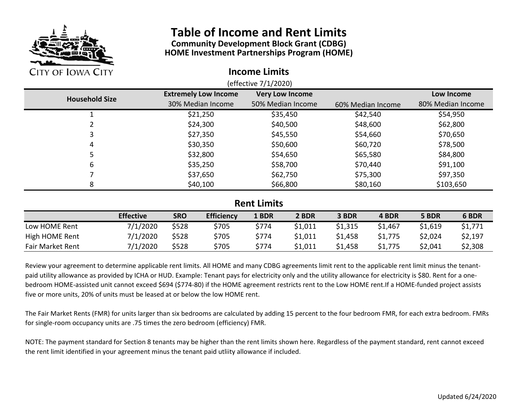

# **Table of Income and Rent Limits**

**Community Development Block Grant (CDBG) HOME Investment Partnerships Program (HOME)**

#### **Income Limits**

| <b>Household Size</b> | <b>Very Low Income</b><br><b>Extremely Low Income</b> |                   |                   | Low Income        |  |  |  |
|-----------------------|-------------------------------------------------------|-------------------|-------------------|-------------------|--|--|--|
|                       | 30% Median Income                                     | 50% Median Income | 60% Median Income | 80% Median Income |  |  |  |
|                       | \$21,250                                              | \$35,450          | \$42,540          | \$54,950          |  |  |  |
|                       | \$24,300                                              | \$40,500          | \$48,600          | \$62,800          |  |  |  |
| 3                     | \$27,350                                              | \$45,550          | \$54,660          | \$70,650          |  |  |  |
| 4                     | \$30,350                                              | \$50,600          | \$60,720          | \$78,500          |  |  |  |
| 5                     | \$32,800                                              | \$54,650          | \$65,580          | \$84,800          |  |  |  |
| 6                     | \$35,250                                              | \$58,700          | \$70,440          | \$91,100          |  |  |  |
|                       | \$37,650                                              | \$62,750          | \$75,300          | \$97,350          |  |  |  |
| 8                     | \$40,100                                              | \$66,800          | \$80,160          | \$103,650         |  |  |  |
|                       |                                                       |                   |                   |                   |  |  |  |
| <b>Rent Limits</b>    |                                                       |                   |                   |                   |  |  |  |

### **Rent Limits**

|                         | <b>Effective</b> | <b>SRO</b> | <b>Efficiency</b> | 1 BDR | 2 BDR   | 3 BDR   | 4 BDR   | 5 BDR   | 6 BDR   |
|-------------------------|------------------|------------|-------------------|-------|---------|---------|---------|---------|---------|
| Low HOME Rent           | 7/1/2020         | \$528      | \$705             | \$774 | \$1,011 | \$1,315 | \$1,467 | \$1,619 | \$1,771 |
| High HOME Rent          | 7/1/2020         | \$528      | \$705             | \$774 | \$1,011 | \$1,458 | \$1,775 | \$2,024 | \$2,197 |
| <b>Fair Market Rent</b> | 7/1/2020         | \$528      | \$705             | \$774 | \$1,011 | \$1,458 | \$1,775 | \$2,041 | \$2,308 |

Review your agreement to determine applicable rent limits. All HOME and many CDBG agreements limit rent to the applicable rent limit minus the tenant‐ paid utility allowance as provided by ICHA or HUD. Example: Tenant pays for electricity only and the utility allowance for electricity is \$80. Rent for a onebedroom HOME‐assisted unit cannot exceed \$694 (\$774‐80) if the HOME agreement restricts rent to the Low HOME rent.If <sup>a</sup> HOME‐funded project assists five or more units, 20% of units must be leased at or below the low HOME rent.

The Fair Market Rents (FMR) for units larger than six bedrooms are calculated by adding 15 percent to the four bedroom FMR, for each extra bedroom. FMRs for single‐room occupancy units are .75 times the zero bedroom (efficiency) FMR.

NOTE: The payment standard for Section 8 tenants may be higher than the rent limits shown here. Regardless of the payment standard, rent cannot exceed the rent limit identified in your agreement minus the tenant paid utliity allowance if included.